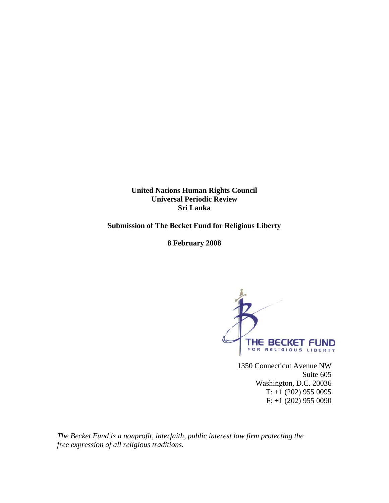**United Nations Human Rights Council Universal Periodic Review Sri Lanka** 

**Submission of The Becket Fund for Religious Liberty** 

**8 February 2008** 



1350 Connecticut Avenue NW Suite 605 Washington, D.C. 20036  $T: +1$  (202) 955 0095 F: +1 (202) 955 0090

*The Becket Fund is a nonprofit, interfaith, public interest law firm protecting the free expression of all religious traditions.*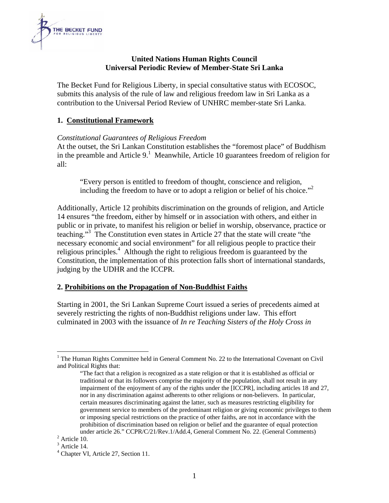

## **United Nations Human Rights Council Universal Periodic Review of Member-State Sri Lanka**

The Becket Fund for Religious Liberty, in special consultative status with ECOSOC, submits this analysis of the rule of law and religious freedom law in Sri Lanka as a contribution to the Universal Period Review of UNHRC member-state Sri Lanka.

## **1. Constitutional Framework**

## *Constitutional Guarantees of Religious Freedom*

At the outset, the Sri Lankan Constitution establishes the "foremost place" of Buddhism in the preamble and Article  $9<sup>1</sup>$  Meanwhile, Article 10 guarantees freedom of religion for all:

"Every person is entitled to freedom of thought, conscience and religion, including the freedom to have or to adopt a religion or belief of his choice."2

Additionally, Article 12 prohibits discrimination on the grounds of religion, and Article 14 ensures "the freedom, either by himself or in association with others, and either in public or in private, to manifest his religion or belief in worship, observance, practice or teaching."3 The Constitution even states in Article 27 that the state will create "the necessary economic and social environment" for all religious people to practice their religious principles.<sup>4</sup> Although the right to religious freedom is guaranteed by the Constitution, the implementation of this protection falls short of international standards, judging by the UDHR and the ICCPR.

#### **2. Prohibitions on the Propagation of Non-Buddhist Faiths**

Starting in 2001, the Sri Lankan Supreme Court issued a series of precedents aimed at severely restricting the rights of non-Buddhist religions under law. This effort culminated in 2003 with the issuance of *In re Teaching Sisters of the Holy Cross in* 

 $\overline{a}$ 

<sup>&</sup>lt;sup>1</sup> The Human Rights Committee held in General Comment No. 22 to the International Covenant on Civil and Political Rights that:

<sup>&</sup>quot;The fact that a religion is recognized as a state religion or that it is established as official or traditional or that its followers comprise the majority of the population, shall not result in any impairment of the enjoyment of any of the rights under the [ICCPR], including articles 18 and 27, nor in any discrimination against adherents to other religions or non-believers. In particular, certain measures discriminating against the latter, such as measures restricting eligibility for government service to members of the predominant religion or giving economic privileges to them or imposing special restrictions on the practice of other faiths, are not in accordance with the prohibition of discrimination based on religion or belief and the guarantee of equal protection under article 26." CCPR/C/21/Rev.1/Add.4, General Comment No. 22. (General Comments) 2

 $2$  Article 10.

<sup>&</sup>lt;sup>3</sup> Article 14.

<sup>4</sup> Chapter VI, Article 27, Section 11.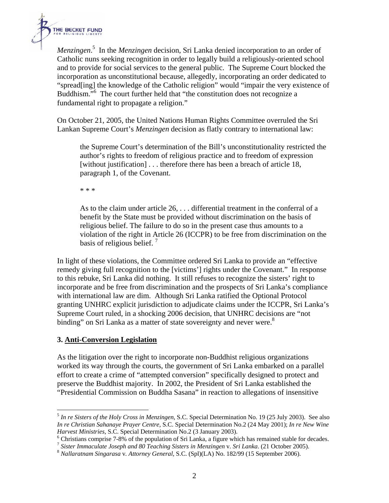

*Menzingen*. 5 In the *Menzingen* decision, Sri Lanka denied incorporation to an order of Catholic nuns seeking recognition in order to legally build a religiously-oriented school and to provide for social services to the general public. The Supreme Court blocked the incorporation as unconstitutional because, allegedly, incorporating an order dedicated to "spread[ing] the knowledge of the Catholic religion" would "impair the very existence of Buddhism."<sup>6</sup> The court further held that "the constitution does not recognize a fundamental right to propagate a religion."

On October 21, 2005, the United Nations Human Rights Committee overruled the Sri Lankan Supreme Court's *Menzingen* decision as flatly contrary to international law:

the Supreme Court's determination of the Bill's unconstitutionality restricted the author's rights to freedom of religious practice and to freedom of expression [without justification] . . . therefore there has been a breach of article 18, paragraph 1, of the Covenant.

\* \* \*

As to the claim under article 26, . . . differential treatment in the conferral of a benefit by the State must be provided without discrimination on the basis of religious belief. The failure to do so in the present case thus amounts to a violation of the right in Article 26 (ICCPR) to be free from discrimination on the basis of religious belief.

In light of these violations, the Committee ordered Sri Lanka to provide an "effective remedy giving full recognition to the [victims'] rights under the Covenant." In response to this rebuke, Sri Lanka did nothing. It still refuses to recognize the sisters' right to incorporate and be free from discrimination and the prospects of Sri Lanka's compliance with international law are dim. Although Sri Lanka ratified the Optional Protocol granting UNHRC explicit jurisdiction to adjudicate claims under the ICCPR, Sri Lanka's Supreme Court ruled, in a shocking 2006 decision, that UNHRC decisions are "not binding" on Sri Lanka as a matter of state sovereignty and never were.<sup>8</sup>

# **3. Anti-Conversion Legislation**

 $\overline{a}$ 

As the litigation over the right to incorporate non-Buddhist religious organizations worked its way through the courts, the government of Sri Lanka embarked on a parallel effort to create a crime of "attempted conversion" specifically designed to protect and preserve the Buddhist majority. In 2002, the President of Sri Lanka established the "Presidential Commission on Buddha Sasana" in reaction to allegations of insensitive

<sup>5</sup> *In re Sisters of the Holy Cross in Menzingen*, S.C. Special Determination No. 19 (25 July 2003). See also *In re Christian Sahanaye Prayer Centre*, S.C. Special Determination No.2 (24 May 2001); *In re New Wine Harvest Ministries*, S.C. Special Determination No.2 (3 January 2003).

Christians comprise 7-8% of the population of Sri Lanka, a figure which has remained stable for decades.

<sup>7</sup> *Sister Immaculate Joseph and 80 Teaching Sisters in Menzingen* v*. Sri Lanka*. (21 October 2005). 8 *Nallaratnam Singarasa* v*. Attorney General*, S.C. (Spl)(LA) No. 182/99 (15 September 2006).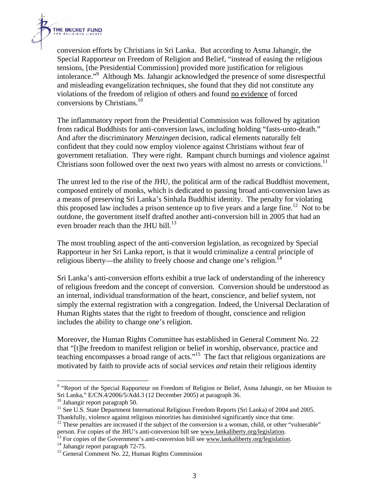

conversion efforts by Christians in Sri Lanka. But according to Asma Jahangir, the Special Rapporteur on Freedom of Religion and Belief, "instead of easing the religious tensions, [the Presidential Commission] provided more justification for religious intolerance."9 Although Ms. Jahangir acknowledged the presence of some disrespectful and misleading evangelization techniques, she found that they did not constitute any violations of the freedom of religion of others and found no evidence of forced conversions by Christians.<sup>10</sup>

The inflammatory report from the Presidential Commission was followed by agitation from radical Buddhists for anti-conversion laws, including holding "fasts-unto-death." And after the discriminatory *Menzingen* decision, radical elements naturally felt confident that they could now employ violence against Christians without fear of government retaliation. They were right. Rampant church burnings and violence against Christians soon followed over the next two years with almost no arrests or convictions.<sup>11</sup>

The unrest led to the rise of the JHU, the political arm of the radical Buddhist movement, composed entirely of monks, which is dedicated to passing broad anti-conversion laws as a means of preserving Sri Lanka's Sinhala Buddhist identity. The penalty for violating this proposed law includes a prison sentence up to five years and a large fine.<sup>12</sup> Not to be outdone, the government itself drafted another anti-conversion bill in 2005 that had an even broader reach than the JHU bill.<sup>13</sup>

The most troubling aspect of the anti-conversion legislation, as recognized by Special Rapporteur in her Sri Lanka report, is that it would criminalize a central principle of religious liberty—the ability to freely choose and change one's religion.<sup>14</sup>

Sri Lanka's anti-conversion efforts exhibit a true lack of understanding of the inherency of religious freedom and the concept of conversion. Conversion should be understood as an internal, individual transformation of the heart, conscience, and belief system, not simply the external registration with a congregation. Indeed, the Universal Declaration of Human Rights states that the right to freedom of thought, conscience and religion includes the ability to change one's religion.

Moreover, the Human Rights Committee has established in General Comment No. 22 that "[t]he freedom to manifest religion or belief in worship, observance, practice and teaching encompasses a broad range of acts."<sup>15</sup> The fact that religious organizations are motivated by faith to provide acts of social services *and* retain their religious identity

1

<sup>&</sup>lt;sup>9</sup> "Report of the Special Rapporteur on Freedom of Religion or Belief, Asma Jahangir, on her Mission to Sri Lanka," E/CN.4/2006/5/Add.3 (12 December 2005) at paragraph 36.

<sup>10</sup> Jahangir report paragraph 50.

<sup>&</sup>lt;sup>11</sup> See U.S. State Department International Religious Freedom Reports (Sri Lanka) of 2004 and 2005. Thankfully, violence against religious minorities has diminished significantly since that time.

<sup>&</sup>lt;sup>12</sup> These penalties are increased if the subject of the conversion is a woman, child, or other "vulnerable" person. For copies of the JHU's anti-conversion bill see www.lankaliberty.org/legislation.<br><sup>13</sup> For copies of the Government's anti-conversion bill see www.lankaliberty.org/legislation.<br><sup>14</sup> Jahangir report paragraph 72-75

<sup>15</sup> General Comment No. 22, Human Rights Commission